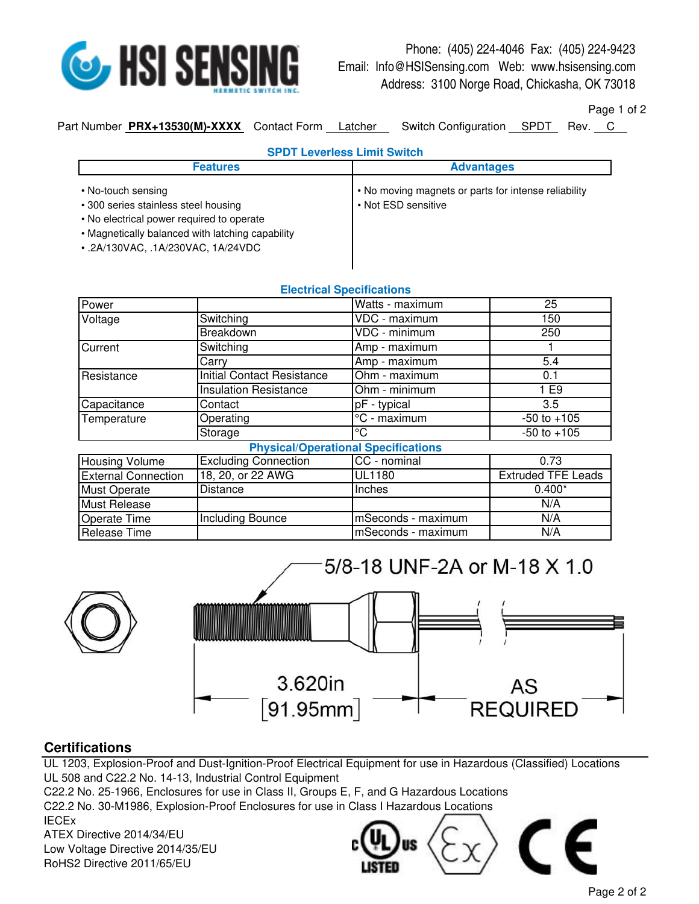

## Phone: (405) 224-4046 Fax: (405) 224-9423 Email: Info@HSISensing.com Web: www.hsisensing.com Address: 3100 Norge Road, Chickasha, OK 73018

Page 1 of 2

Part Number **PRX+13530(M)-XXXX** Contact Form Latcher Switch Configuration SPDT Rev. C

|          | - 0    |  |
|----------|--------|--|
| $\cdots$ | ¬<br>r |  |

| <b>SPDT Leverless Limit Switch</b>                                                                                                                                                                |                                                                             |  |  |  |
|---------------------------------------------------------------------------------------------------------------------------------------------------------------------------------------------------|-----------------------------------------------------------------------------|--|--|--|
| <b>Features</b>                                                                                                                                                                                   | <b>Advantages</b>                                                           |  |  |  |
| • No-touch sensing<br>• 300 series stainless steel housing<br>• No electrical power required to operate<br>• Magnetically balanced with latching capability<br>• .2A/130VAC, .1A/230VAC, 1A/24VDC | • No moving magnets or parts for intense reliability<br>• Not ESD sensitive |  |  |  |

|                            |                                   | <b>Electrical Specifications</b>           |                           |
|----------------------------|-----------------------------------|--------------------------------------------|---------------------------|
| Power                      |                                   | Watts - maximum                            | 25                        |
| Voltage                    | Switching                         | VDC - maximum                              | 150                       |
|                            | Breakdown                         | VDC - minimum                              | 250                       |
| Current                    | Switching                         | Amp - maximum                              |                           |
|                            | Carry                             | Amp - maximum                              | 5.4                       |
| Resistance                 | <b>Initial Contact Resistance</b> | Ohm - maximum                              | 0.1                       |
|                            | <b>Insulation Resistance</b>      | Ohm - minimum                              | 1 E9                      |
| Capacitance                | Contact                           | pF - typical                               | 3.5                       |
| Temperature                | Operating                         | °C - maximum                               | $-50$ to $+105$           |
|                            | Storage                           | $^{\circ}$ C                               | $-50$ to $+105$           |
|                            |                                   | <b>Physical/Operational Specifications</b> |                           |
| <b>Housing Volume</b>      | <b>Excluding Connection</b>       | CC - nominal                               | 0.73                      |
| <b>External Connection</b> | 18, 20, or 22 AWG                 | <b>UL1180</b>                              | <b>Extruded TFE Leads</b> |
| <b>Must Operate</b>        | Distance                          | Inches                                     | $0.400*$                  |
| <b>Must Release</b>        |                                   |                                            | N/A                       |
| Operate Time               | <b>Including Bounce</b>           | mSeconds - maximum                         | N/A                       |
| Release Time               |                                   | mSeconds - maximum                         | N/A                       |



## **Certifications**

UL 1203, Explosion-Proof and Dust-Ignition-Proof Electrical Equipment for use in Hazardous (Classified) Locations UL 508 and C22.2 No. 14-13, Industrial Control Equipment

C22.2 No. 25-1966, Enclosures for use in Class II, Groups E, F, and G Hazardous Locations C22.2 No. 30-M1986, Explosion-Proof Enclosures for use in Class I Hazardous Locations

**IECE<sub>x</sub>** 

ATEX Directive 2014/34/EU Low Voltage Directive 2014/35/EU RoHS2 Directive 2011/65/EU